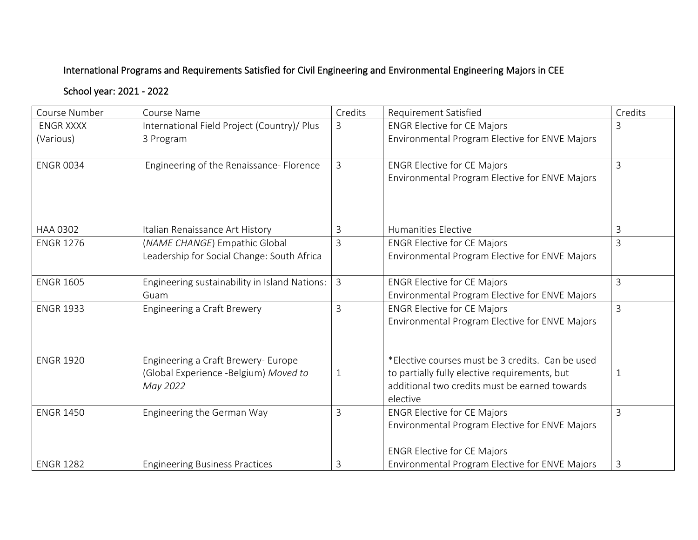## International Programs and Requirements Satisfied for Civil Engineering and Environmental Engineering Majors in CEE

## School year: 2021 - 2022

| Course Number    | Course Name                                                                              | Credits        | <b>Requirement Satisfied</b>                                                                                                                                   | Credits        |
|------------------|------------------------------------------------------------------------------------------|----------------|----------------------------------------------------------------------------------------------------------------------------------------------------------------|----------------|
| <b>ENGR XXXX</b> | International Field Project (Country)/ Plus                                              | 3              | <b>ENGR Elective for CE Majors</b>                                                                                                                             | 3              |
| (Various)        | 3 Program                                                                                |                | Environmental Program Elective for ENVE Majors                                                                                                                 |                |
| <b>ENGR 0034</b> | Engineering of the Renaissance- Florence                                                 | 3              | <b>ENGR Elective for CE Majors</b><br>Environmental Program Elective for ENVE Majors                                                                           | 3              |
| HAA 0302         | Italian Renaissance Art History                                                          | 3              | <b>Humanities Elective</b>                                                                                                                                     | 3              |
| <b>ENGR 1276</b> | (NAME CHANGE) Empathic Global<br>Leadership for Social Change: South Africa              | $\overline{3}$ | <b>ENGR Elective for CE Majors</b><br>Environmental Program Elective for ENVE Majors                                                                           | $\overline{3}$ |
| <b>ENGR 1605</b> | Engineering sustainability in Island Nations:<br>Guam                                    | $\overline{3}$ | <b>ENGR Elective for CE Majors</b><br>Environmental Program Elective for ENVE Majors                                                                           | $\overline{3}$ |
| <b>ENGR 1933</b> | <b>Engineering a Craft Brewery</b>                                                       | $\overline{3}$ | <b>ENGR Elective for CE Majors</b><br>Environmental Program Elective for ENVE Majors                                                                           | $\overline{3}$ |
| <b>ENGR 1920</b> | Engineering a Craft Brewery- Europe<br>(Global Experience -Belgium) Moved to<br>May 2022 | $\mathbf{1}$   | *Elective courses must be 3 credits. Can be used<br>to partially fully elective requirements, but<br>additional two credits must be earned towards<br>elective | 1              |
| <b>ENGR 1450</b> | Engineering the German Way                                                               | $\mathsf{3}$   | <b>ENGR Elective for CE Majors</b><br>Environmental Program Elective for ENVE Majors<br><b>ENGR Elective for CE Majors</b>                                     | $\overline{3}$ |
| <b>ENGR 1282</b> | <b>Engineering Business Practices</b>                                                    | 3              | Environmental Program Elective for ENVE Majors                                                                                                                 | 3              |